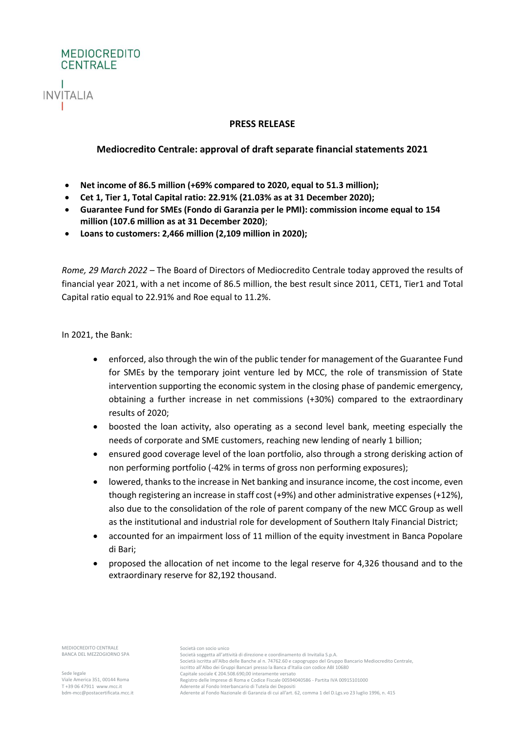

## **PRESS RELEASE**

## **Mediocredito Centrale: approval of draft separate financial statements 2021**

- **Net income of 86.5 million (+69% compared to 2020, equal to 51.3 million);**
- **Cet 1, Tier 1, Total Capital ratio: 22.91% (21.03% as at 31 December 2020);**
- **Guarantee Fund for SMEs (Fondo di Garanzia per le PMI): commission income equal to 154 million (107.6 million as at 31 December 2020)**;
- **Loans to customers: 2,466 million (2,109 million in 2020);**

*Rome, 29 March 2022* – The Board of Directors of Mediocredito Centrale today approved the results of financial year 2021, with a net income of 86.5 million, the best result since 2011, CET1, Tier1 and Total Capital ratio equal to 22.91% and Roe equal to 11.2%.

In 2021, the Bank:

- enforced, also through the win of the public tender for management of the Guarantee Fund for SMEs by the temporary joint venture led by MCC, the role of transmission of State intervention supporting the economic system in the closing phase of pandemic emergency, obtaining a further increase in net commissions (+30%) compared to the extraordinary results of 2020;
- boosted the loan activity, also operating as a second level bank, meeting especially the needs of corporate and SME customers, reaching new lending of nearly 1 billion;
- ensured good coverage level of the loan portfolio, also through a strong derisking action of non performing portfolio (-42% in terms of gross non performing exposures);
- lowered, thanks to the increase in Net banking and insurance income, the cost income, even though registering an increase in staff cost (+9%) and other administrative expenses (+12%), also due to the consolidation of the role of parent company of the new MCC Group as well as the institutional and industrial role for development of Southern Italy Financial District;
- accounted for an impairment loss of 11 million of the equity investment in Banca Popolare di Bari;
- proposed the allocation of net income to the legal reserve for 4,326 thousand and to the extraordinary reserve for 82,192 thousand.

MEDIOCREDITO CENTRALE BANCA DEL MEZZOGIORNO SPA

Sede legale Viale America 351, 00144 Roma T +39 06 47911 www.mcc.it bdm-mcc@postacertificata.mcc.it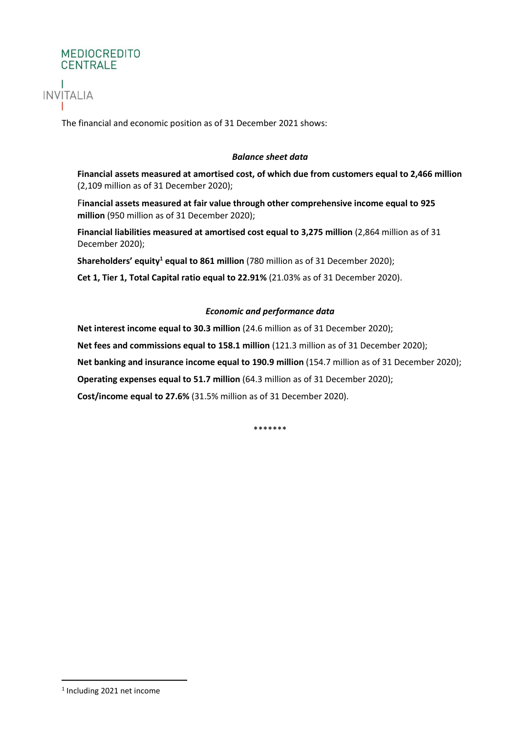

The financial and economic position as of 31 December 2021 shows:

## *Balance sheet data*

**Financial assets measured at amortised cost, of which due from customers equal to 2,466 million**  (2,109 million as of 31 December 2020);

F**inancial assets measured at fair value through other comprehensive income equal to 925 million** (950 million as of 31 December 2020);

**Financial liabilities measured at amortised cost equal to 3,275 million** (2,864 million as of 31 December 2020);

**Shareholders' equity<sup>1</sup> equal to 861 million** (780 million as of 31 December 2020);

**Cet 1, Tier 1, Total Capital ratio equal to 22.91%** (21.03% as of 31 December 2020).

## *Economic and performance data*

**Net interest income equal to 30.3 million** (24.6 million as of 31 December 2020);

**Net fees and commissions equal to 158.1 million** (121.3 million as of 31 December 2020);

**Net banking and insurance income equal to 190.9 million** (154.7 million as of 31 December 2020);

**Operating expenses equal to 51.7 million** (64.3 million as of 31 December 2020);

**Cost/income equal to 27.6%** (31.5% million as of 31 December 2020).

\*\*\*\*\*\*\*

<sup>&</sup>lt;sup>1</sup> Including 2021 net income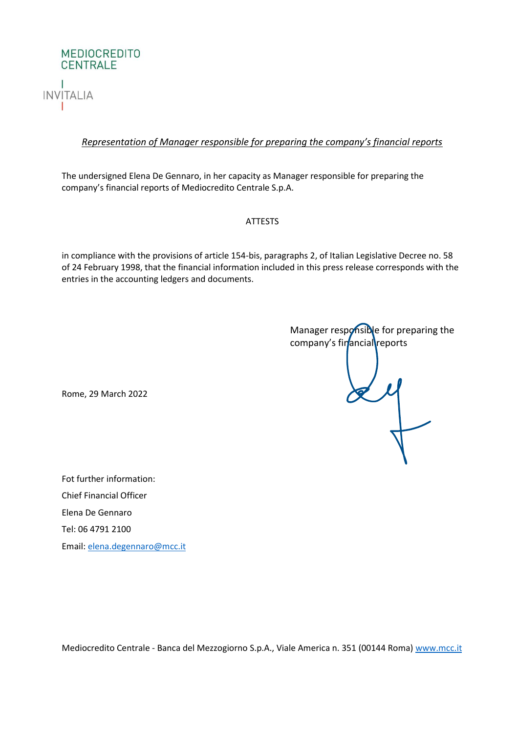

## *Representation of Manager responsible for preparing the company's financial reports*

The undersigned Elena De Gennaro, in her capacity as Manager responsible for preparing the company's financial reports of Mediocredito Centrale S.p.A.

### ATTESTS

in compliance with the provisions of article 154-bis, paragraphs 2, of Italian Legislative Decree no. 58 of 24 February 1998, that the financial information included in this press release corresponds with the entries in the accounting ledgers and documents.

Manager responsible for preparing the company's financial reports 

Rome, 29 March 2022

Fot further information: Chief Financial Officer Elena De Gennaro Tel: 06 4791 2100 Email: [elena.degennaro@mcc.it](mailto:elena.degennaro@mcc.it)

Mediocredito Centrale - Banca del Mezzogiorno S.p.A., Viale America n. 351 (00144 Roma) [www.mcc.it](http://www.mcc.it/)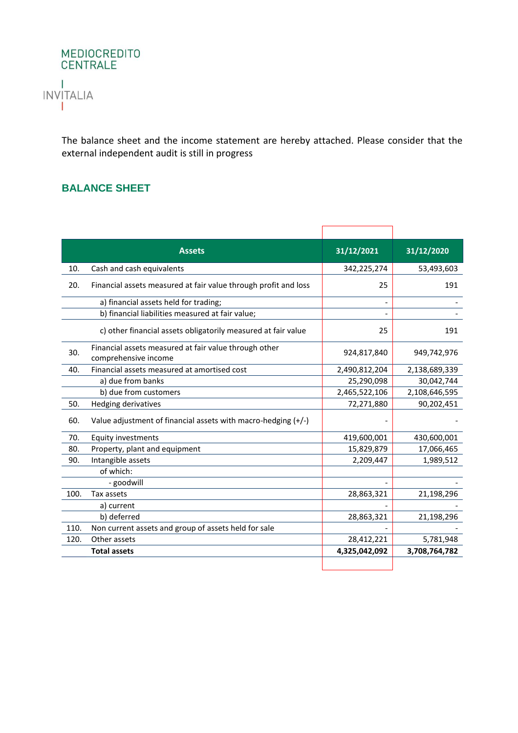

The balance sheet and the income statement are hereby attached. Please consider that the external independent audit is still in progress

## **BALANCE SHEET**

|      | <b>Assets</b>                                                                 | 31/12/2021    | 31/12/2020    |
|------|-------------------------------------------------------------------------------|---------------|---------------|
| 10.  | Cash and cash equivalents                                                     | 342,225,274   | 53,493,603    |
| 20.  | Financial assets measured at fair value through profit and loss               | 25            | 191           |
|      | a) financial assets held for trading;                                         |               |               |
|      | b) financial liabilities measured at fair value;                              |               |               |
|      | c) other financial assets obligatorily measured at fair value                 | 25            | 191           |
| 30.  | Financial assets measured at fair value through other<br>comprehensive income | 924,817,840   | 949,742,976   |
| 40.  | Financial assets measured at amortised cost                                   | 2,490,812,204 | 2,138,689,339 |
|      | a) due from banks                                                             | 25,290,098    | 30,042,744    |
|      | b) due from customers                                                         | 2,465,522,106 | 2,108,646,595 |
| 50.  | Hedging derivatives                                                           | 72,271,880    | 90,202,451    |
| 60.  | Value adjustment of financial assets with macro-hedging $(+/-)$               |               |               |
| 70.  | <b>Equity investments</b>                                                     | 419,600,001   | 430,600,001   |
| 80.  | Property, plant and equipment                                                 | 15,829,879    | 17,066,465    |
| 90.  | Intangible assets                                                             | 2,209,447     | 1,989,512     |
|      | of which:                                                                     |               |               |
|      | - goodwill                                                                    |               |               |
| 100. | Tax assets                                                                    | 28,863,321    | 21,198,296    |
|      | a) current                                                                    |               |               |
|      | b) deferred                                                                   | 28,863,321    | 21,198,296    |
| 110. | Non current assets and group of assets held for sale                          |               |               |
| 120. | Other assets                                                                  | 28,412,221    | 5,781,948     |
|      | <b>Total assets</b>                                                           | 4,325,042,092 | 3,708,764,782 |
|      |                                                                               |               |               |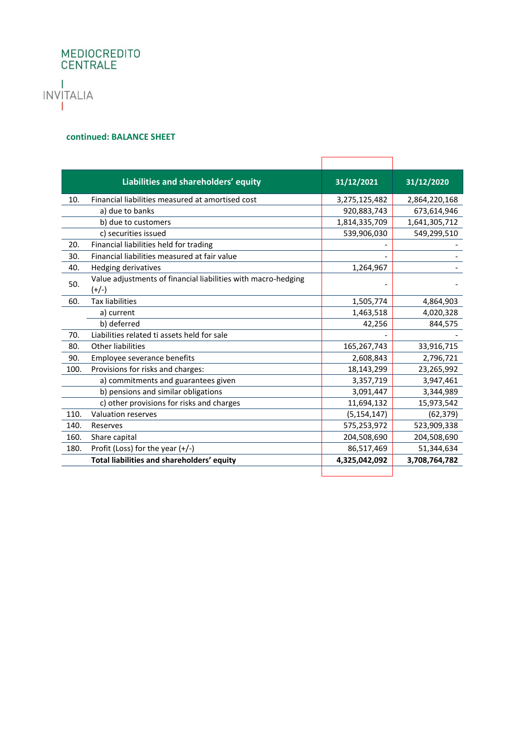## MEDIOCREDITO<br>CENTRALE Т INVITALIA 1

#### **continued: BALANCE SHEET**

|      | Liabilities and shareholders' equity                                     | 31/12/2021    | 31/12/2020    |
|------|--------------------------------------------------------------------------|---------------|---------------|
| 10.  | Financial liabilities measured at amortised cost                         | 3,275,125,482 | 2,864,220,168 |
|      | a) due to banks                                                          | 920,883,743   | 673,614,946   |
|      | b) due to customers                                                      | 1,814,335,709 | 1,641,305,712 |
|      | c) securities issued                                                     | 539,906,030   | 549,299,510   |
| 20.  | Financial liabilities held for trading                                   |               |               |
| 30.  | Financial liabilities measured at fair value                             |               |               |
| 40.  | <b>Hedging derivatives</b>                                               | 1,264,967     |               |
| 50.  | Value adjustments of financial liabilities with macro-hedging<br>$(+/-)$ |               |               |
| 60.  | <b>Tax liabilities</b>                                                   | 1,505,774     | 4,864,903     |
|      | a) current                                                               | 1,463,518     | 4,020,328     |
|      | b) deferred                                                              | 42,256        | 844,575       |
| 70.  | Liabilities related ti assets held for sale                              |               |               |
| 80.  | Other liabilities                                                        | 165,267,743   | 33,916,715    |
| 90.  | Employee severance benefits                                              | 2,608,843     | 2,796,721     |
| 100. | Provisions for risks and charges:                                        | 18,143,299    | 23,265,992    |
|      | a) commitments and guarantees given                                      | 3,357,719     | 3,947,461     |
|      | b) pensions and similar obligations                                      | 3,091,447     | 3,344,989     |
|      | c) other provisions for risks and charges                                | 11,694,132    | 15,973,542    |
| 110. | <b>Valuation reserves</b>                                                | (5, 154, 147) | (62, 379)     |
| 140. | Reserves                                                                 | 575,253,972   | 523,909,338   |
| 160. | Share capital                                                            | 204,508,690   | 204,508,690   |
| 180. | Profit (Loss) for the year $(+/-)$                                       | 86,517,469    | 51,344,634    |
|      | Total liabilities and shareholders' equity                               | 4,325,042,092 | 3,708,764,782 |
|      |                                                                          |               |               |